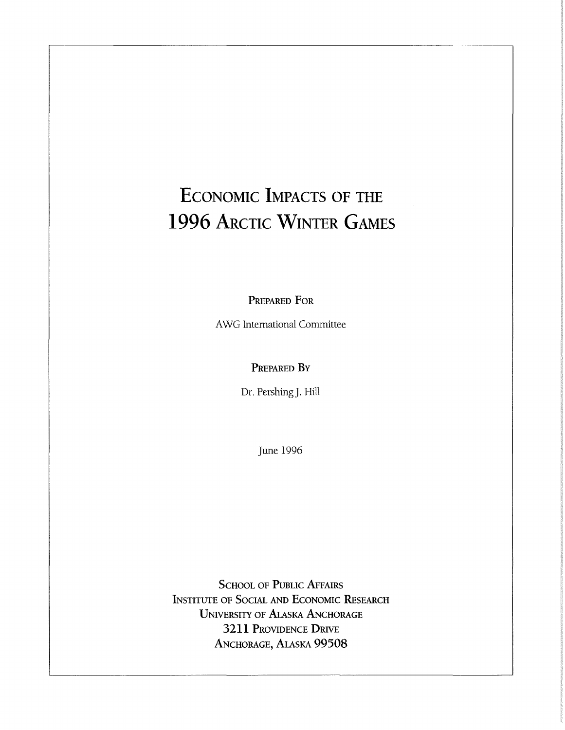# **ECONOMIC IMPACTS OF THE 1996 ARCTIC WINTER GAMES**

PREPARED FOR

AWG International Committee

#### PREPARED BY

Dr. Pershing]. Hill

June 1996

SCHOOL OF PUBLIC AFFAIRS INSTITUTE OF SOCIAL AND ECONOMIC RESEARCH UNIVERSITY OF ALASKA ANCHORAGE **3211** PROVIDENCE **DRIVE**  ANCHORAGE, ALASKA **99508**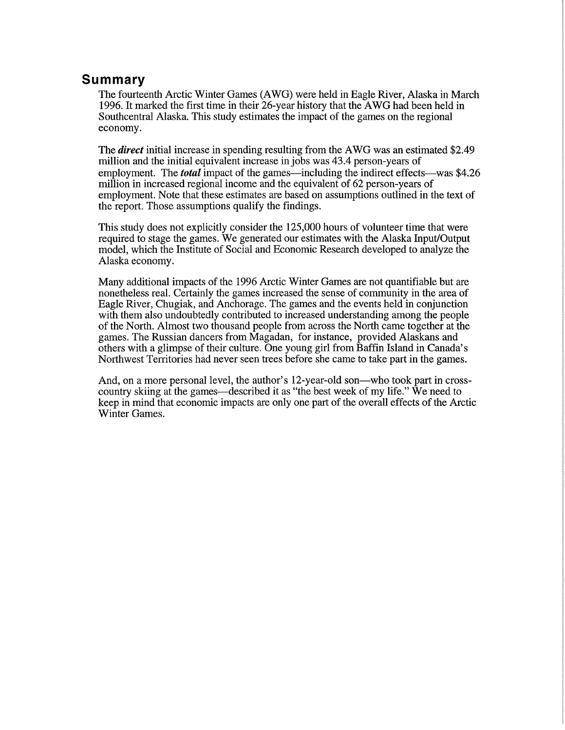## **Summary**

The fourteenth Arctic Winter Games (A WG) were held in Eagle River, Alaska in March 1996. It marked the first time in their 26-year history that the AWG had been held in Southcentral Alaska. This study estimates the impact of the games on the regional economy.

The *direct* initial increase in spending resulting from the AWG was an estimated \$2.49 million and the initial equivalent increase in jobs was 43.4 person-years of employment. The *total* impact of the games—including the indirect effects—was \$4.26 million in increased regional income and the equivalent of 62 person-years of employment. Note that these estimates are based on assumptions outlined in the text of the report. Those assumptions qualify the findings.

This study does not explicitly consider the 125,000 hours of volunteer time that were required to stage the games. We generated our estimates with the Alaska Input/Output model, which the Institute of Social and Economic Research developed to analyze the Alaska economy.

Many additional impacts of the 1996 Arctic Winter Games are not quantifiable but are nonetheless real. Certainly the games increased the sense of community in the area of Eagle River, Chugiak, and Anchorage. The games and the events held in conjunction with them also undoubtedly contributed to increased understanding among the people of the North. Almost two thousand people from across the North came together at the games. The Russian dancers from Magadan, for instance, provided Alaskans and others with a glimpse of their culture. One young girl from Baffin Island in Canada's Northwest Territories had never seen trees before she came to take part in the games.

And, on a more personal level, the author's 12-year-old son-who took part in crosscountry skiing at the games—described it as "the best week of my life." We need to keep in mind that economic impacts are only one part of the overall effects of the Arctic Winter Games.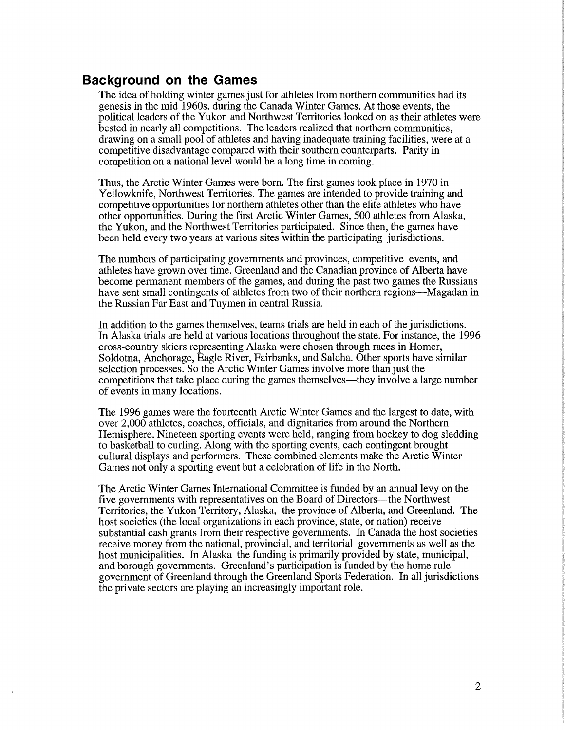#### **Background on the Games**

The idea of holding winter games just for athletes from northern communities had its genesis in the mid 1960s, during the Canada Winter Games. At those events, the political leaders of the Yukon and Northwest Territories looked on as their athletes were bested in nearly all competitions. The leaders realized that northern communities, drawing on a small pool of athletes and having inadequate training facilities, were at a competitive disadvantage compared with their southern counterparts. Parity in competition on a national level would be a long time in coming.

Thus, the Arctic Winter Games were born. The first games took place in 1970 in Yellowknife, Northwest Territories. The games are intended to provide training and competitive opportunities for northern athletes other than the elite athletes who have other opportunities. During the first Arctic Winter Games, 500 athletes from Alaska, the Yukon, and the Northwest Territories participated. Since then, the games have been held every two years at various sites within the participating jurisdictions.

The numbers of participating governments and provinces, competitive events, and athletes have grown over time. Greenland and the Canadian province of Alberta have become permanent members of the games, and during the past two games the Russians have sent small contingents of athletes from two of their northern regions—Magadan in the Russian Far East and Tuymen in central Russia.

In addition to the games themselves, teams trials are held in each of the jurisdictions. In Alaska trials are held at various locations throughout the state. For instance, the 1996 cross-country skiers representing Alaska were chosen through races in Homer, Soldotna, Anchorage, Eagle River, Fairbanks, and Saleha. Other sports have similar selection processes. So the Arctic Winter Games involve more than just the competitions that take place during the games themselves-they involve a large number of events in many locations.

The 1996 games were the fourteenth Arctic Winter Games and the largest to date, with over 2,000 athletes, coaches, officials, and dignitaries from around the Northern Hemisphere. Nineteen sporting events were held, ranging from hockey to dog sledding to basketball to curling. Along with the sporting events, each contingent brought cultural displays and performers. These combined elements make the Arctic Winter Games not only a sporting event but a celebration of life in the North.

The Arctic Winter Games International Committee is funded by an annual levy on the five governments with representatives on the Board of Directors—the Northwest Territories, the Yukon Territory, Alaska, the province of Alberta, and Greenland. The host societies (the local organizations in each province, state, or nation) receive substantial cash grants from their respective governments. In Canada the host societies receive money from the national, provincial, and territorial governments as well as the host municipalities. In Alaska the funding is primarily provided by state, municipal, and borough governments. Greenland's participation is funded by the home rule government of Greenland through the Greenland Sports Federation. In all jurisdictions the private sectors are playing an increasingly important role.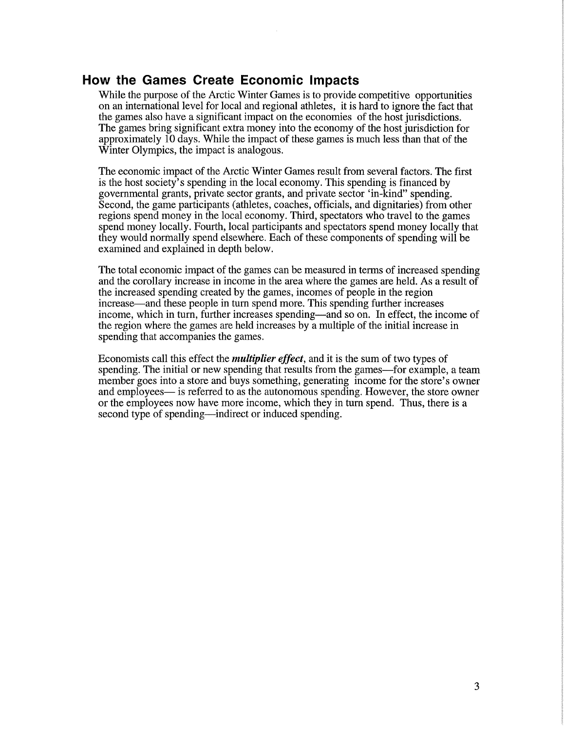#### **How the Games Create Economic Impacts**

While the purpose of the Arctic Winter Games is to provide competitive opportunities on an international level for local and regional athletes, it is hard to ignore the fact that the games also have a significant impact on the economies of the host jurisdictions. The games bring significant extra money into the economy of the host jurisdiction for approximately 10 days. While the impact of these games is much less than that of the Winter Olympics, the impact is analogous.

The economic impact of the Arctic Winter Games result from several factors. The first is the host society's spending in the local economy. This spending is financed by governmental grants, private sector grants, and private sector 'in-kind" spending. Second, the game participants (athletes, coaches, officials, and dignitaries) from other regions spend money in the local economy. Third, spectators who travel to the games spend money locally. Fourth, local participants and spectators spend money locally that they would normally spend elsewhere. Each of these components of spending will be examined and explained in depth below.

The total economic impact of the games can be measured in terms of increased spending and the corollary increase in income in the area where the games are held. As a result of the increased spending created by the games, incomes of people in the region increase-and these people in turn spend more. This spending further increases income, which in turn, further increases spending—and so on. In effect, the income of the region where the games are held increases by a multiple of the initial increase in spending that accompanies the games.

Economists call this effect the *multiplier effect,* and it is the sum of two types of spending. The initial or new spending that results from the games-for example, a team member goes into a store and buys something, generating income for the store's owner and employees— is referred to as the autonomous spending. However, the store owner or the employees now have more income, which they in turn spend. Thus, there is a second type of spending—indirect or induced spending.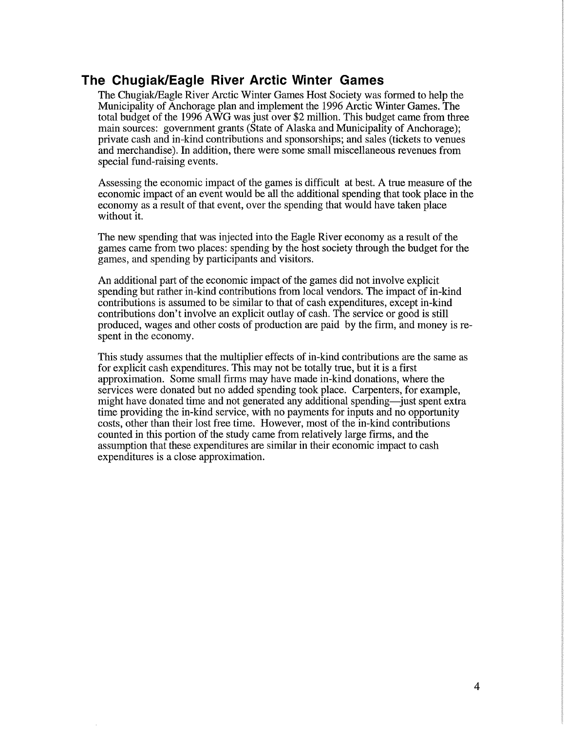## **The Chugiak/Eagle River Arctic Winter Games**

The Chugiak/Eagle River Arctic Winter Games Host Society was formed to help the Municipality of Anchorage plan and implement the 1996 Arctic Winter Games. The total budget of the 1996 AWG was just over \$2 million. This budget came from three main sources: government grants (State of Alaska and Municipality of Anchorage); private cash and in-kind contributions and sponsorships; and sales (tickets to venues and merchandise). In addition, there were some small miscellaneous revenues from special fund-raising events.

Assessing the economic impact of the games is difficult at best. A true measure of the economic impact of an event would be all the additional spending that took place in the economy as a result of that event, over the spending that would have taken place without it.

The new spending that was injected into the Eagle River economy as a result of the games came from two places: spending by the host society through the budget for the games, and spending by participants and visitors.

An additional part of the economic impact of the games did not involve explicit spending but rather in-kind contributions from local vendors. The impact of in-kind contributions is assumed to be similar to that of cash expenditures, except in-kind contributions don't involve an explicit outlay of cash. The service or good is still produced, wages and other costs of production are paid by the firm, and money is respent in the economy.

This study assumes that the multiplier effects of in-kind contributions are the same as for explicit cash expenditures. This may not be totally true, but it is a first approximation. Some small firms may have made in-kind donations, where the services were donated but no added spending took place. Carpenters, for example, might have donated time and not generated any additional spending—just spent extra time providing the in-kind service, with no payments for inputs and no opportunity costs, other than their lost free time. However, most of the in-kind contributions counted in this portion of the study came from relatively large firms, and the assumption that these expenditures are similar in their economic impact to cash expenditures is a close approximation.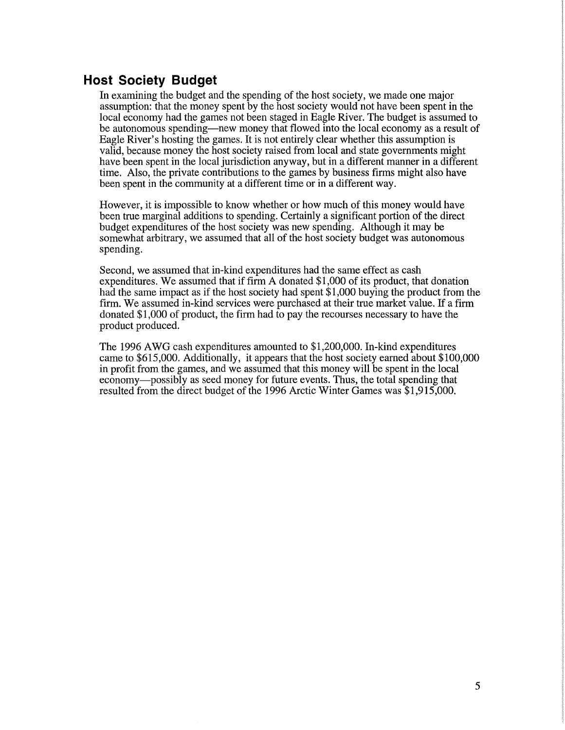## **Host Society Budget**

In examining the budget and the spending of the host society, we made one major assumption: that the money spent by the host society would not have been spent in the local economy had the games not been staged in Eagle River. The budget is assumed to be autonomous spending—new money that flowed into the local economy as a result of Eagle River's hosting the games. It is not entirely clear whether this assumption is valid, because money the host society raised from local and state governments might have been spent in the local jurisdiction anyway, but in a different manner in a different time. Also, the private contributions to the games by business firms might also have been spent in the community at a different time or in a different way.

However, it is impossible to know whether or how much of this money would have been true marginal additions to spending. Certainly a significant portion of the direct budget expenditures of the host society was new spending. Although it may be somewhat arbitrary, we assumed that all of the host society budget was autonomous spending.

Second, we assumed that in-kind expenditures had the same effect as cash expenditures. We assumed that if firm A donated \$1,000 of its product, that donation had the same impact as if the host society had spent \$1,000 buying the product from the firm. We assumed in-kind services were purchased at their true market value. If a firm donated \$1,000 of product, the firm had to pay the recourses necessary to have the product produced.

The 1996 AWG cash expenditures amounted to \$1,200,000. In-kind expenditures came to \$615,000. Additionally, it appears that the host society earned about \$100,000 in profit from the games, and we assumed that this money will be spent in the local economy-possibly as seed money for future events. Thus, the total spending that resulted from the direct budget of the 1996 Arctic Winter Games was \$1,915,000.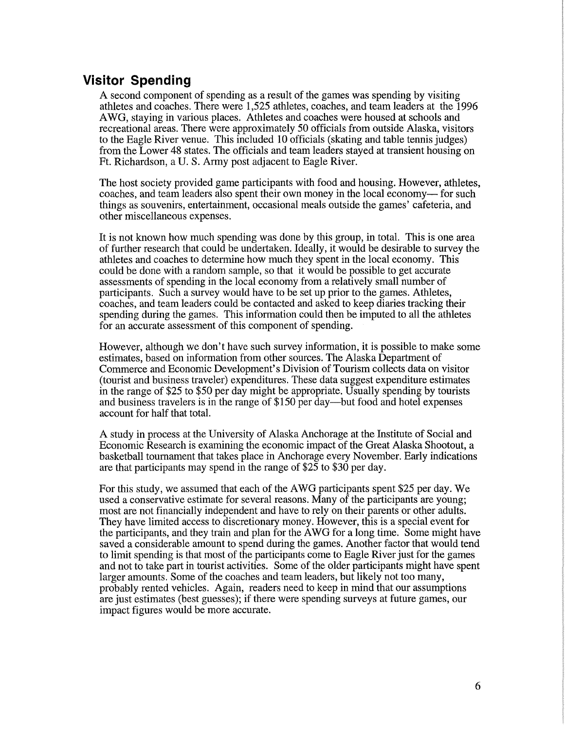## **Visitor Spending**

A second component of spending as a result of the games was spending by visiting athletes and coaches. There were 1,525 athletes, coaches, and team leaders at the 1996 A WG, staying in various places. Athletes and coaches were housed at schools and recreational areas. There were approximately 50 officials from outside Alaska, visitors to the Eagle River venue. This included 10 officials (skating and table tennis judges) from the Lower 48 states. The officials and team leaders stayed at transient housing on Ft. Richardson, a U.S. Army post adjacent to Eagle River.

The host society provided game participants with food and housing. However, athletes, coaches, and team leaders also spent their own money in the local economy— for such things as souvenirs, entertainment, occasional meals outside the games' cafeteria, and other miscellaneous expenses.

It is not known how much spending was done by this group, in total. This is one area of further research that could be undertaken. Ideally, it would be desirable to survey the athletes and coaches to determine how much they spent in the local economy. This could be done with a random sample, so that it would be possible to get accurate assessments of spending in the local economy from a relatively small number of participants. Such a survey would have to be set up prior to the games. Athletes, coaches, and team leaders could be contacted and asked to keep diaries tracking their spending during the games. This information could then be imputed to all the athletes for an accurate assessment of this component of spending.

However, although we don't have such survey information, it is possible to make some estimates, based on information from other sources. The Alaska Department of Commerce and Economic Development's Division of Tourism collects data on visitor (tourist and business traveler) expenditures. These data suggest expenditure estimates in the range of \$25 to \$50 per day might be appropriate. Usually spending by tourists and business travelers is in the range of \$150 per day—but food and hotel expenses account for half that total.

A study in process at the University of Alaska Anchorage at the Institute of Social and Economic Research is examining the economic impact of the Great Alaska Shootout, a basketball tournament that takes place in Anchorage every November. Early indications are that participants may spend in the range of \$25 to \$30 per day.

For this study, we assumed that each of the AWG participants spent \$25 per day. We used a conservative estimate for several reasons. Many of the participants are young; most are not financially independent and have to rely on their parents or other adults. They have limited access to discretionary money. However, this is a special event for the participants, and they train and plan for the A WG for a long time. Some might have saved a considerable amount to spend during the games. Another factor that would tend to limit spending is that most of the participants come to Eagle River just for the games and not to take part in tourist activities. Some of the older participants might have spent larger amounts. Some of the coaches and team leaders, but likely not too many, probably rented vehicles. Again, readers need to keep in mind that our assumptions are just estimates (best guesses); if there were spending surveys at future games, our impact figures would be more accurate.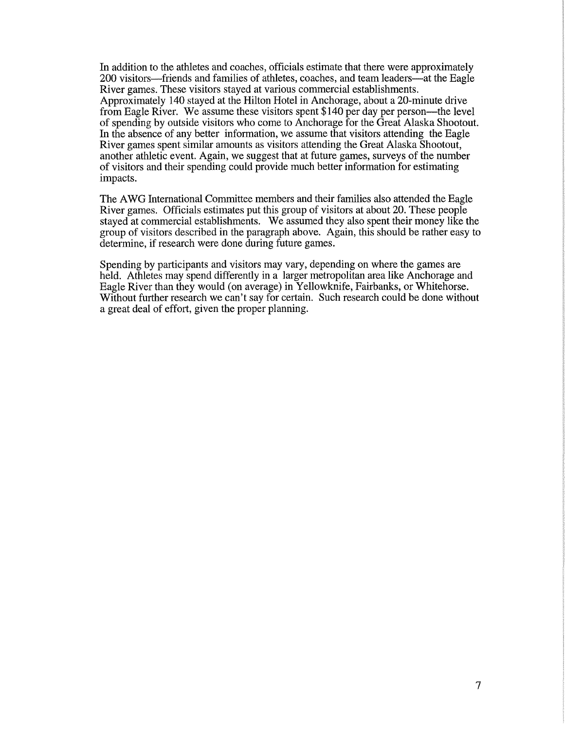In addition to the athletes and coaches, officials estimate that there were approximately 200 visitors—friends and families of athletes, coaches, and team leaders—at the Eagle River games. These visitors stayed at various commercial establishments. Approximately 140 stayed at the Hilton Hotel in Anchorage, about a 20-minute drive from Eagle River. We assume these visitors spent \$140 per day per person-the level of spending by outside visitors who come to Anchorage for the Great Alaska Shootout. In the absence of any better information, we assume that visitors attending the Eagle River games spent similar amounts as visitors attending the Great Alaska Shootout, another athletic event. Again, we suggest that at future games, surveys of the number of visitors and their spending could provide much better information for estimating impacts.

The A WG International Committee members and their families also attended the Eagle River games. Officials estimates put this group of visitors at about 20. These people stayed at commercial establishments. We assumed they also spent their money like the group of visitors described in the paragraph above. Again, this should be rather easy to determine, if research were done during future games.

Spending by participants and visitors may vary, depending on where the games are held. Athletes may spend differently in a larger metropolitan area like Anchorage and Eagle River than they would (on average) in Yellowknife, Fairbanks, or Whitehorse. Without further research we can't say for certain. Such research could be done without a great deal of effort, given the proper planning.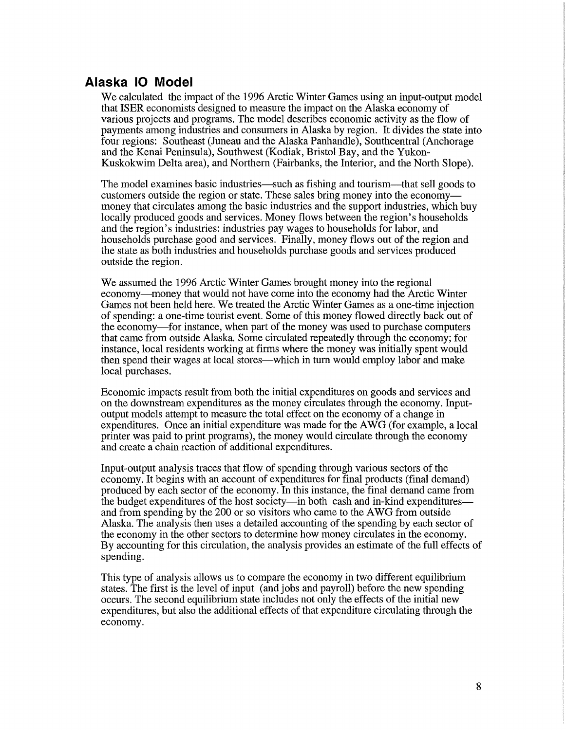## **Alaska 10 Model**

We calculated the impact of the 1996 Arctic Winter Games using an input-output model that ISER economists designed to measure the impact on the Alaska economy of various projects and programs. The model describes economic activity as the flow of payments among industries and consumers in Alaska by region. It divides the state into four regions: Southeast (Juneau and the Alaska Panhandle), Southcentral (Anchorage and the Kenai Peninsula), Southwest (Kodiak, Bristol Bay, and the Yukon-Kuskokwim Delta area), and Northern (Fairbanks, the Interior, and the North Slope).

The model examines basic industries—such as fishing and tourism—that sell goods to customers outside the region or state. These sales bring money into the economymoney that circulates among the basic industries and the support industries, which buy locally produced goods and services. Money flows between the region's households and the region's industries: industries pay wages to households for labor, and households purchase good and services. Finally, money flows out of the region and the state as both industries and households purchase goods and services produced outside the region.

We assumed the 1996 Arctic Winter Games brought money into the regional economy-money that would not have come into the economy had the Arctic Winter Games not been held here. We treated the Arctic Winter Games as a one-time injection of spending: a one-time tourist event. Some of this money flowed directly back out of the economy-for instance, when part of the money was used to purchase computers that came from outside Alaska. Some circulated repeatedly through the economy; for instance, local residents working at firms where the money was initially spent would then spend their wages at local stores—which in turn would employ labor and make local purchases.

Economic impacts result from both the initial expenditures on goods and services and on the downstream expenditures as the money circulates through the economy. Inputoutput models attempt to measure the total effect on the economy of a change in expenditures. Once an initial expenditure was made for the AWG (for example, a local printer was paid to print programs), the money would circulate through the economy and create a chain reaction of additional expenditures.

Input-output analysis traces that flow of spending through various sectors of the economy. It begins with an account of expenditures for final products (final demand) produced by each sector of the economy. In this instance, the final demand came from the budget expenditures of the host society—in both cash and in-kind expenditures and from spending by the 200 or so visitors who came to the AWG from outside Alaska. The analysis then uses a detailed accounting of the spending by each sector of the economy in the other sectors to determine how money circulates in the economy. By accounting for this circulation, the analysis provides an estimate of the full effects of spending.

This type of analysis allows us to compare the economy in two different equilibrium states. The first is the level of input (and jobs and payroll) before the new spending occurs. The second equilibrium state includes not only the effects of the initial new expenditures, but also the additional effects of that expenditure circulating through the economy.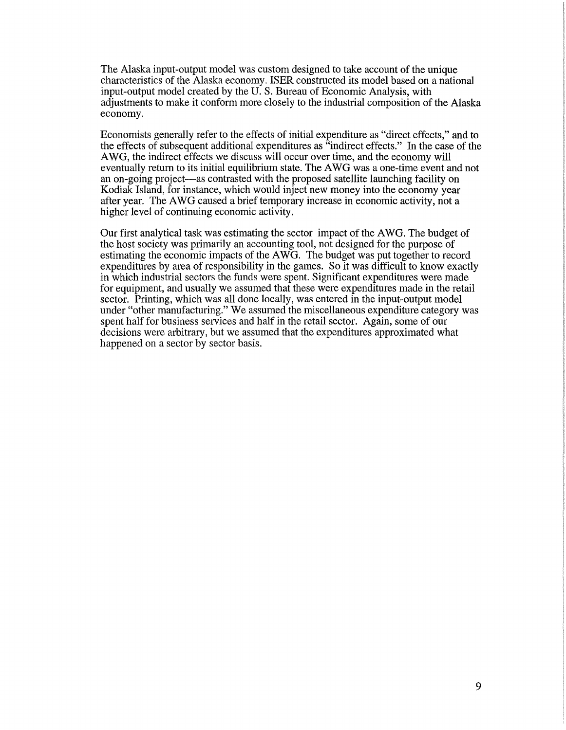The Alaska input-output model was custom designed to take account of the unique characteristics of the Alaska economy. ISER constructed its model based on a national input-output model created by the U.S. Bureau of Economic Analysis, with adjustments to make it conform more closely to the industrial composition of the Alaska economy.

Economists generally refer to the effects of initial expenditure as "direct effects," and to the effects of subsequent additional expenditures as "indirect effects." In the case of the A WG, the indirect effects we discuss will occur over time, and the economy will eventually return to its initial equilibrium state. The AWG was a one-time event and not an on-going project-as contrasted with the proposed satellite launching facility on Kodiak Island, for instance, which would inject new money into the economy year after year. The AWG caused a brief temporary increase in economic activity, not a higher level of continuing economic activity.

Our first analytical task was estimating the sector impact of the A WG. The budget of the host society was primarily an accounting tool, not designed for the purpose of estimating the economic impacts of the AWG. The budget was put together to record expenditures by area of responsibility in the games. So it was difficult to know exactly in which industrial sectors the funds were spent. Significant expenditures were made for equipment, and usually we assumed that these were expenditures made in the retail sector. Printing, which was all done locally, was entered in the input-output model under "other manufacturing." We assumed the miscellaneous expenditure category was spent half for business services and half in the retail sector. Again, some of our decisions were arbitrary, but we assumed that the expenditures approximated what happened on a sector by sector basis.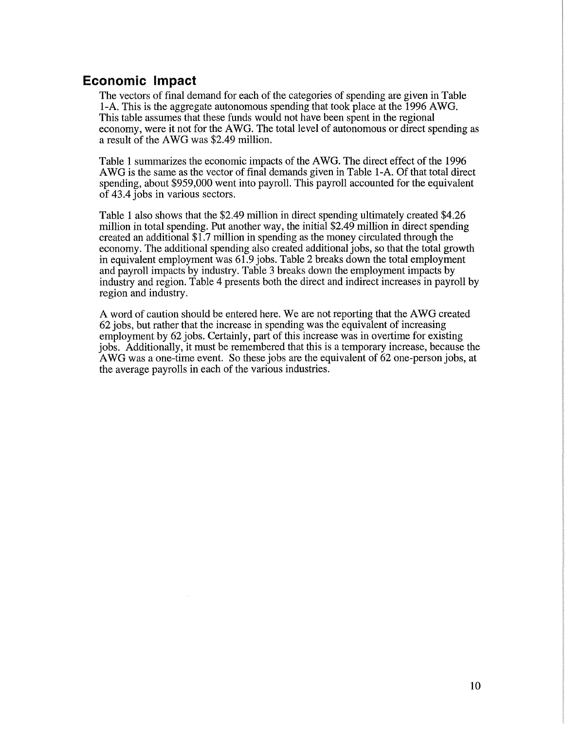## **Economic Impact**

The vectors of final demand for each of the categories of spending are given in Table 1-A. This is the aggregate autonomous spending that took place at the 1996 AWG. This table assumes that these funds would not have been spent in the regional economy, were it not for the A WG. The total level of autonomous or direct spending as a result of the AWG was \$2.49 million.

Table 1 summarizes the economic impacts of the AWG. The direct effect of the 1996 A WG is the same as the vector of final demands given in Table 1-A. Of that total direct spending, about \$959,000 went into payroll. This payroll accounted for the equivalent of 43.4 jobs in various sectors.

Table 1 also shows that the \$2.49 million in direct spending ultimately created \$4.26 million in total spending. Put another way, the initial \$2.49 million in direct spending created an additional \$1.7 million in spending as the money circulated through the economy. The additional spending also created additional jobs, so that the total growth in equivalent employment was 61.9 jobs. Table 2 breaks down the total employment and payroll impacts by industry. Table 3 breaks down the employment impacts by industry and region. Table 4 presents both the direct and indirect increases in payroll by region and industry.

A word of caution should be entered here. We are not reporting that the AWG created 62 jobs, but rather that the increase in spending was the equivalent of increasing employment by 62 jobs. Certainly, part of this increase was in overtime for existing jobs. Additionally, it must be remembered that this is a temporary increase, because the A WG was a one-time event. So these jobs are the equivalent of 62 one-person jobs, at the average payrolls in each of the various industries.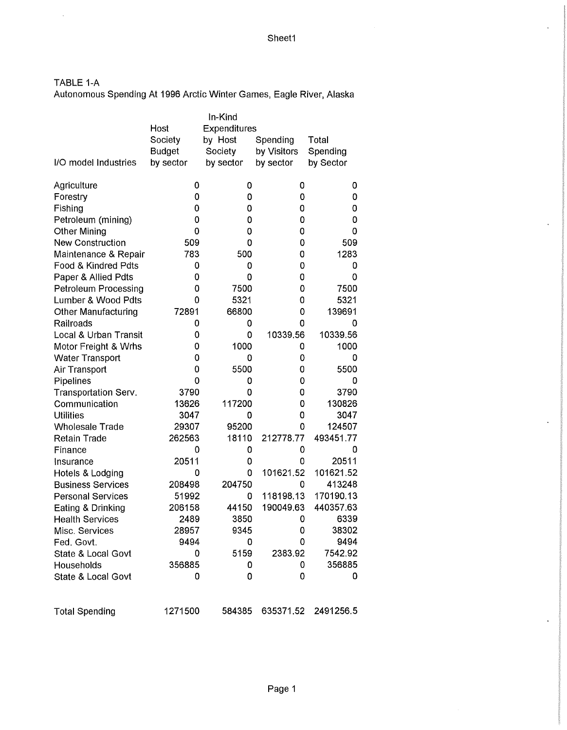TABLE 1-A

 $\hat{\mathcal{L}}$ 

Autonomous Spending At 1996 Arctic Winter Games, Eagle River, Alaska

|                               |                      | In-Kind   |             |           |  |  |  |
|-------------------------------|----------------------|-----------|-------------|-----------|--|--|--|
|                               | Expenditures<br>Host |           |             |           |  |  |  |
|                               | Society              | by Host   | Spending    | Total     |  |  |  |
|                               | <b>Budget</b>        | Society   | by Visitors | Spending  |  |  |  |
| I/O model Industries          | by sector            | by sector | by sector   | by Sector |  |  |  |
|                               |                      |           |             |           |  |  |  |
| Agriculture                   | 0                    | 0         | 0           | 0         |  |  |  |
| Forestry                      | 0                    | 0         | 0           | 0         |  |  |  |
| Fishing                       | 0                    | 0         | 0           | 0         |  |  |  |
| Petroleum (mining)            | 0                    | 0         | 0           | 0         |  |  |  |
| <b>Other Mining</b>           | 0                    | 0         | 0           | 0         |  |  |  |
| <b>New Construction</b>       | 509                  | 0         | 0           | 509       |  |  |  |
| Maintenance & Repair          | 783                  | 500       | 0           | 1283      |  |  |  |
| Food & Kindred Pdts           | 0                    | 0         | 0           | 0         |  |  |  |
| Paper & Allied Pdts           | 0                    | 0         | 0           | 0         |  |  |  |
| <b>Petroleum Processing</b>   | 0                    | 7500      | 0           | 7500      |  |  |  |
| Lumber & Wood Pdts            | 0                    | 5321      | 0           | 5321      |  |  |  |
| <b>Other Manufacturing</b>    | 72891                | 66800     | 0           | 139691    |  |  |  |
| Railroads                     | 0                    | 0         | 0           | 0         |  |  |  |
| Local & Urban Transit         | 0                    | 0         | 10339.56    | 10339.56  |  |  |  |
| Motor Freight & Wrhs          | 0                    | 1000      | 0           | 1000      |  |  |  |
| <b>Water Transport</b>        | 0                    | 0         | 0           | 0         |  |  |  |
| Air Transport                 | 0                    | 5500      | 0           | 5500      |  |  |  |
| Pipelines                     | 0                    | 0         | 0           | 0         |  |  |  |
| Transportation Serv.          | 3790                 | 0         | 0           | 3790      |  |  |  |
| Communication                 | 13626                | 117200    | 0           | 130826    |  |  |  |
| <b>Utilities</b>              | 3047                 | 0         | 0           | 3047      |  |  |  |
| <b>Wholesale Trade</b>        | 29307                | 95200     | 0           | 124507    |  |  |  |
| <b>Retain Trade</b>           | 262563               | 18110     | 212778.77   | 493451.77 |  |  |  |
| Finance                       | 0                    | 0         | 0           | 0         |  |  |  |
| Insurance                     | 20511                | 0         | 0           | 20511     |  |  |  |
| Hotels & Lodging              | 0                    | 0         | 101621.52   | 101621.52 |  |  |  |
| <b>Business Services</b>      | 208498               | 204750    | 0           | 413248    |  |  |  |
| <b>Personal Services</b>      | 51992                | 0         | 118198.13   | 170190.13 |  |  |  |
| Eating & Drinking             | 206158               | 44150     | 190049.63   | 440357.63 |  |  |  |
| <b>Health Services</b>        | 2489                 | 3850      | 0           | 6339      |  |  |  |
| Misc. Services                | 28957                | 9345      | 0           | 38302     |  |  |  |
| Fed. Govt.                    | 9494                 | 0         | 0           | 9494      |  |  |  |
| State & Local Govt            | 0                    | 5159      | 2383.92     | 7542.92   |  |  |  |
| Households                    | 356885               | 0         | 0           | 356885    |  |  |  |
| <b>State &amp; Local Govt</b> | 0                    | 0         | 0           | 0         |  |  |  |
|                               |                      |           |             |           |  |  |  |
|                               |                      |           |             |           |  |  |  |
| <b>Total Spending</b>         | 1271500              | 584385    | 635371.52   | 2491256.5 |  |  |  |

 $\ddot{\phantom{a}}$ 

 $\ddot{\phantom{a}}$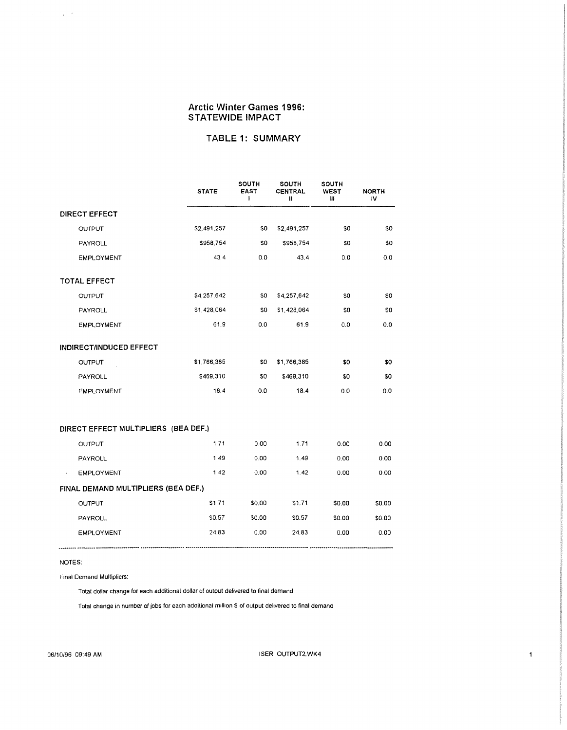#### **TABLE 1: SUMMARY**

|                                      | <b>STATE</b> | <b>SOUTH</b><br><b>EAST</b><br>ŧ | <b>SOUTH</b><br>CENTRAL<br>Ш | SOUTH<br>WEST<br>Ш | <b>NORTH</b><br>IV |  |  |  |  |  |
|--------------------------------------|--------------|----------------------------------|------------------------------|--------------------|--------------------|--|--|--|--|--|
| <b>DIRECT EFFECT</b>                 |              |                                  |                              |                    |                    |  |  |  |  |  |
| OUTPUT                               | \$2,491,257  | \$0                              | \$2,491,257                  | \$0                | \$0                |  |  |  |  |  |
| PAYROLL                              | \$958,754    | \$0                              | \$958,754                    | \$0                | \$0                |  |  |  |  |  |
| <b>EMPLOYMENT</b>                    | 43.4         | 0.0                              | 43.4                         | 0.0                | 0.0                |  |  |  |  |  |
| <b>TOTAL EFFECT</b>                  |              |                                  |                              |                    |                    |  |  |  |  |  |
| OUTPUT                               | \$4,257,642  | \$0                              | \$4,257,642                  | 30                 | \$0                |  |  |  |  |  |
| PAYROLL                              | \$1,428,064  | \$0                              | \$1,428,064                  | \$0                | \$0                |  |  |  |  |  |
| <b>EMPLOYMENT</b>                    | 61.9         | 0.0                              | 61.9                         | 0.0                | 0.0                |  |  |  |  |  |
| INDIRECT/INDUCED EFFECT              |              |                                  |                              |                    |                    |  |  |  |  |  |
| <b>OUTPUT</b>                        | \$1,766,385  | \$0                              | \$1,766,385                  | \$0                | \$0                |  |  |  |  |  |
| PAYROLL                              | \$469,310    | \$0                              | \$469,310                    | \$0                | \$0                |  |  |  |  |  |
| <b>EMPLOYMENT</b>                    | 18.4         | 0.0                              | 18.4                         | 0.0                | 0.0                |  |  |  |  |  |
| DIRECT EFFECT MULTIPLIERS (BEA DEF.) |              |                                  |                              |                    |                    |  |  |  |  |  |
| OUTPUT                               | 171          | 0.00                             | 1.71                         | 0.00               | 0.00               |  |  |  |  |  |
| PAYROLL                              | 149          | 0.00                             | 1.49                         | 0.00               | 0.00               |  |  |  |  |  |
| <b>EMPLOYMENT</b>                    | 142          | 0.00                             | 1.42                         | 0.00               | 0.00               |  |  |  |  |  |
| FINAL DEMAND MULTIPLIERS (BEA DEF.)  |              |                                  |                              |                    |                    |  |  |  |  |  |
| OUTPUT                               | \$1.71       | \$0.00                           | \$1.71                       | \$0.00             | \$0.00             |  |  |  |  |  |
| <b>PAYROLL</b>                       | \$0.57       | \$0.00                           | \$0.57                       | \$0.00             | \$0.00             |  |  |  |  |  |
| <b>EMPLOYMENT</b>                    | 24.83        | 0.00                             | 24.83                        | 0.00               | 0.00               |  |  |  |  |  |

NOTES:

 $\hat{\mathcal{A}}$ 

Final Demand Multipliers:

Total dollar change for each additional dollar of output delivered to final demand

Total change in number of jobs for each additional million \$ of output delivered to final demand

 $\mathbf 1$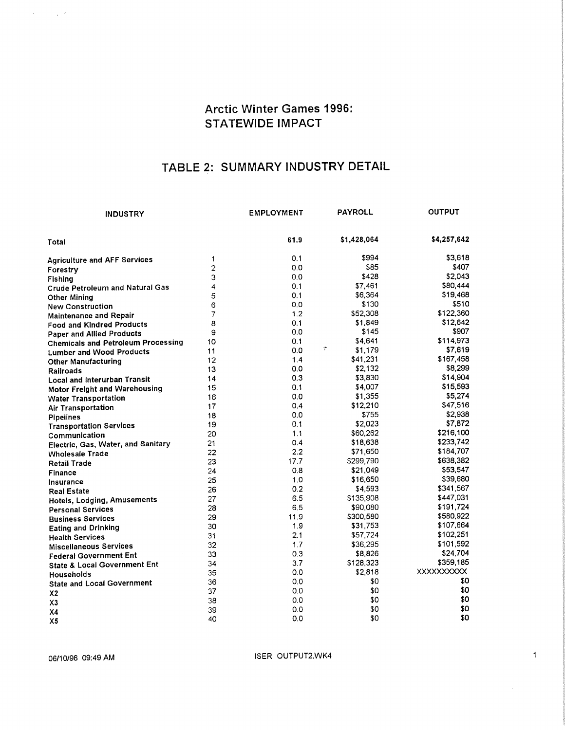## TABLE 2: SUMMARY INDUSTRY DETAIL

| INDUSTRY                                  |                | <b>EMPLOYMENT</b> | <b>PAYROLL</b> | <b>OUTPUT</b>     |
|-------------------------------------------|----------------|-------------------|----------------|-------------------|
| Total                                     |                | 61.9              | \$1,428,064    | \$4,257,642       |
| <b>Agriculture and AFF Services</b>       | 1              | 0.1               | \$994          | \$3,618           |
| Forestry                                  | $\overline{2}$ | 0.0               | \$85           | \$407             |
| <b>Fishing</b>                            | 3              | 0.0               | \$428          | \$2,043           |
| <b>Crude Petroleum and Natural Gas</b>    | 4              | 0.1               | \$7,461        | \$80,444          |
| Other Mining                              | 5              | 0.1               | \$6,364        | \$19,468          |
| <b>New Construction</b>                   | 6              | 0.0               | \$130          | \$510             |
| <b>Maintenance and Repair</b>             | 7              | 1.2               | \$52,308       | \$122,360         |
| <b>Food and Kindred Products</b>          | 8              | 0.1               | \$1,849        | \$12,642          |
| <b>Paper and Allied Products</b>          | 9              | 0.0               | \$145          | \$907             |
| <b>Chemicals and Petroleum Processing</b> | 10             | 0.1               | \$4.641        | \$114,973         |
| <b>Lumber and Wood Products</b>           | 11             | 0.0               | ÷<br>\$1,179   | \$7,619           |
| <b>Other Manufacturing</b>                | 12             | 1.4               | \$41,231       | \$167,458         |
| <b>Railroads</b>                          | 13             | 0.0               | \$2,132        | \$8,299           |
| <b>Local and Interurban Transit</b>       | 14             | 0.3               | \$3,830        | \$14,904          |
| <b>Motor Freight and Warehousing</b>      | 15             | 0.1               | \$4,007        | \$15,593          |
| <b>Water Transportation</b>               | 16             | 0.0               | \$1,355        | \$5,274           |
| <b>Air Transportation</b>                 | 17             | 0.4               | \$12,210       | \$47,516          |
| <b>Pipelines</b>                          | 18             | 0,0               | \$755          | \$2,938           |
| <b>Transportation Services</b>            | 19             | 0.1               | \$2,023        | \$7,872           |
| Communication                             | 20             | 1.1               | \$60,262       | \$216,100         |
| Electric, Gas, Water, and Sanitary        | 21             | 0.4               | \$18,638       | \$233,742         |
| <b>Wholesale Trade</b>                    | 22             | 2.2               | \$71,650       | \$184,707         |
| Retail Trade                              | 23             | 17.7              | \$299,790      | \$638,382         |
| Finance                                   | 24             | 0.8               | \$21,049       | \$53,547          |
| Insurance                                 | 25             | 1.0               | \$16,650       | \$39,680          |
| <b>Real Estate</b>                        | 26             | 0.2               | \$4,593        | \$341,567         |
| Hotels, Lodging, Amusements               | 27             | 6.5               | \$135,908      | \$447,031         |
| <b>Personal Services</b>                  | 28             | 6.5               | \$90,080       | \$191,724         |
| <b>Business Services</b>                  | 29             | 11.9              | \$300,580      | \$580,922         |
| <b>Eating and Drinking</b>                | 30             | 1.9               | \$31,753       | \$107,664         |
| <b>Health Services</b>                    | 31             | 2.1               | \$57,724       | \$102,251         |
| <b>Miscellaneous Services</b>             | 32             | 1.7               | \$36,295       | \$101,592         |
| <b>Federal Government Ent</b>             | 33             | 0.3               | \$8,826        | \$24,704          |
| <b>State &amp; Local Government Ent</b>   | 34             | 3.7               | \$128,323      | \$359,185         |
| Households                                | 35             | 0.0               | \$2,818        | <b>XXXXXXXXXX</b> |
| <b>State and Local Government</b>         | 36             | 0.0               | \$0            | \$0               |
| X <sub>2</sub>                            | 37             | 0.0               | \$0            | \$0               |
| X3                                        | 38             | 0.0               | \$0            | \$0               |
| X <sub>4</sub>                            | 39             | 0.0               | \$0            | \$0               |
| X <sub>5</sub>                            | 40             | 0.0               | \$0            | \$0               |

 $\mathcal{A}^{\mathcal{A}}_{\mathcal{A}}$  ,  $\mathcal{A}^{\mathcal{A}}_{\mathcal{A}}$ 

06/10/96 09:49 AM **ISER OUTPUT2.WK4** 

 $\mathbf{1}$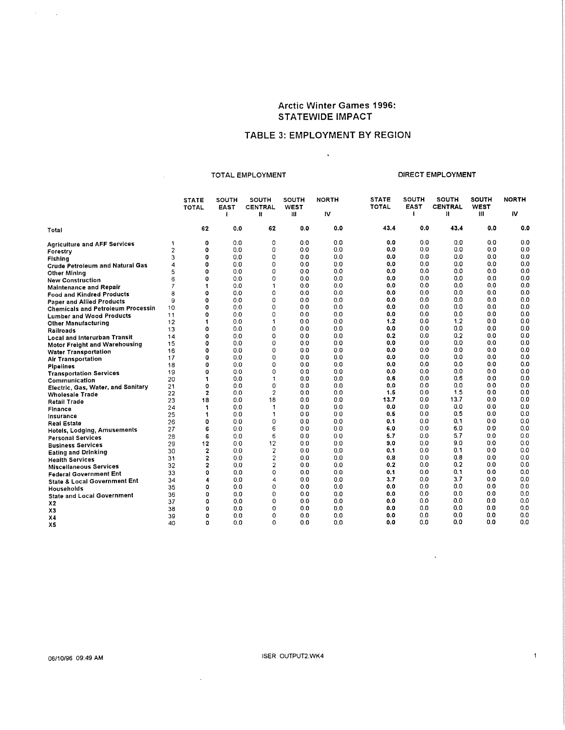#### TABLE 3: EMPLOYMENT BY REGION

 $\sim$ 

TOTAL EMPLOYMENT **EXAMPLOYMENT** DIRECT EMPLOYMENT

 $\mathcal{L}$ 

 $\mathbf 1$ 

|                                          |    | <b>STATE</b><br><b>TOTAL</b> | <b>SOUTH</b><br><b>EAST</b> | SOUTH<br>CENTRAL<br>$\mathbf{u}$ | SOUTH<br><b>WEST</b><br>Ш | <b>NORTH</b><br>1V | <b>STATE</b><br><b>TOTAL</b> | SOUTH<br><b>EAST</b> | <b>SOUTH</b><br><b>CENTRAL</b><br>₩ | <b>SOUTH</b><br><b>WEST</b><br>Ш | <b>NORTH</b><br>IV |
|------------------------------------------|----|------------------------------|-----------------------------|----------------------------------|---------------------------|--------------------|------------------------------|----------------------|-------------------------------------|----------------------------------|--------------------|
| Total                                    |    | 62                           | 0,0                         | 62                               | 0.0                       | 0.0                | 43.4                         | 0.0                  | 43.4                                | 0.0                              | 0,0                |
| <b>Agriculture and AFF Services</b>      | 1  | $\mathbf 0$                  | 0.0                         | 0                                | 0.0                       | 0.0                | 0.0                          | 0.0                  | 0.0                                 | 0.0                              | 0.0                |
| Forestry                                 | 2  | 0                            | 0.0                         | 0                                | 0.0                       | 0.0                | 0,0                          | 0.0                  | 0.0                                 | 0.0                              | 0.0                |
| Fishing                                  | 3  | O                            | 0.0                         | 0                                | 0.0                       | 0.0                | 0.0                          | 0.0                  | 0.0                                 | 0.0                              | 0.0                |
| <b>Crude Petroleum and Natural Gas</b>   | 4  | 0                            | 0.0                         | 0                                | 0.0                       | 0.0                | 0.0                          | 0.0                  | 0.0                                 | 0.0                              | 0.0                |
| <b>Other Mining</b>                      | 5  | O                            | 0.0                         | $\Omega$                         | 0.0                       | 0.0                | 0.0                          | 0.0                  | 0.0                                 | 0.0                              | 0.0                |
| <b>New Construction</b>                  | 6  | $\mathbf 0$                  | 0.0                         | 0                                | 0.0                       | 0.0                | 0.0                          | 0.0                  | 0.0                                 | 0.0                              | 0.0                |
| <b>Maintenance and Repair</b>            | 7  | 1                            | 0.0                         | 1                                | 0.0                       | 0.0                | 0.0                          | 0.0                  | 0.0                                 | 0.0                              | 0.0                |
| <b>Food and Kindred Products</b>         | 8  | 0                            | 0.0                         | 0                                | 0.0                       | 0.0                | 0.0                          | 0.0                  | 0.0                                 | 0.0                              | 0.0                |
| <b>Paper and Allied Products</b>         | 9  | O                            | 0.0                         | 0                                | 0.0                       | 0.0                | 0.0                          | 0.0                  | 0.0                                 | 0.0                              | 0,0                |
| <b>Chemicals and Petroleum Processin</b> | 10 | $\mathbf 0$                  | 0.0                         | 0                                | 0.0                       | 0.0                | 0.0                          | 0.0                  | 0.0                                 | 0.0                              | 0.0                |
| <b>Lumber and Wood Products</b>          | 11 | 0                            | 0.0                         | 0                                | 0.0                       | 0.0                | 0.0                          | 0.0                  | 0.0                                 | 0.0                              | 0.0                |
| <b>Other Manufacturing</b>               | 12 | 1                            | 0.0                         | 1                                | 0.0                       | 0.0                | 1.2                          | 0.0                  | 1.2                                 | 0.0                              | 0.0                |
| <b>Railroads</b>                         | 13 | O                            | 0.0                         | 0                                | 0.0                       | 0.0                | 0.0                          | 0.0                  | 0.0                                 | 0.0                              | 0.0                |
| <b>Local and Interurban Transit</b>      | 14 | $\mathbf 0$                  | 00                          | $\mathbf 0$                      | 0.0                       | 0.0                | 0.2                          | 0.0                  | 0.2                                 | 0.0                              | 0.0                |
| <b>Motor Freight and Warehousing</b>     | 15 | 0                            | 0.0                         | 0                                | 0.0                       | 0.0                | 0.0                          | 0.0                  | 0.0                                 | 0,0                              | 0.0                |
| <b>Water Transportation</b>              | 16 | $\mathbf o$                  | 0.0                         | 0                                | 0.0                       | 0.0                | 0,0                          | 0.0                  | 0.0                                 | 0.0                              | 0.0                |
| <b>Air Transportation</b>                | 17 | 0                            | 0.0                         | 0                                | 0.0                       | 0.0                | 0.0                          | 0.0                  | 0.0                                 | 0.0                              | 0.0                |
| <b>Pipelines</b>                         | 18 | 0                            | 0.0                         | 0                                | 0.0                       | 0.0                | 0.0                          | 0.0                  | 0.0                                 | 0.0                              | 0.0                |
| <b>Transportation Services</b>           | 19 | 0                            | 00                          | $\Omega$                         | 00                        | 0.0                | 0.0                          | 0.0                  | 0.0                                 | 0.0                              | 0.0                |
| Communication                            | 20 | 1                            | 0.0                         | 1                                | 0.0                       | 0.0                | 0.6                          | 0.0                  | 0.6                                 | 0.0                              | 0.0                |
| Electric, Gas, Water, and Sanitary       | 21 | 0                            | 0.0                         | 0                                | 0.0                       | 0.0                | 0.0                          | 0.0                  | 0.0                                 | 0.0                              | 0.0                |
| <b>Wholesale Trade</b>                   | 22 | $\overline{2}$               | 0.0                         | $\overline{c}$                   | 0.0                       | 0.0                | 1.5                          | 0.0                  | 1.5                                 | 0.0                              | 0.0                |
| <b>Retail Trade</b>                      | 23 | 18                           | 0.0                         | 18                               | 0.0                       | 0.0                | 13.7                         | 0.0                  | 13.7                                | 0,0                              | 0,0                |
| Finance                                  | 24 | 1                            | 0.0                         | 1                                | 0,0                       | 0.0                | 0.0                          | 0.0                  | 0.0                                 | 0.0                              | 0.0                |
| Insurance                                | 25 | 1                            | 0.0                         | 1                                | 0.0                       | 0.0                | 0.5                          | 0.0                  | 0.5                                 | 0.0                              | 0.0                |
| Real Estate                              | 26 | 0                            | 0.0                         | 0                                | 0.0                       | 0.0                | 0.1                          | 0.0                  | 0.1                                 | 0.0                              | 0.0                |
| <b>Hotels, Lodging, Amusements</b>       | 27 | 6                            | 0.0                         | 6                                | 0.0                       | 00                 | 6.0                          | 0.0                  | 6.0                                 | 0.0                              | 0.0                |
| Personal Services                        | 28 | 6                            | 0.0                         | 6                                | 0.0                       | 0.0                | 5.7                          | 0.0                  | 5.7                                 | 0.0                              | 0.0                |
| <b>Business Services</b>                 | 29 | 12                           | 00                          | 12                               | 0.0                       | 0.0                | 9.0                          | 0.0                  | 9.0                                 | 0.0                              | 0.0                |
| <b>Eating and Drinking</b>               | 30 | $\overline{2}$               | 0.0                         | $\overline{c}$                   | 0.0                       | 0.0                | 0.1                          | 0.0                  | 0.1                                 | 0.0                              | 0.0                |
| <b>Health Services</b>                   | 31 | $\overline{2}$               | 0.0                         | $\overline{c}$                   | 0.0                       | 0.0                | 0.8                          | 0.0                  | 0.8                                 | 0.0                              | 0.0                |
| <b>Miscellaneous Services</b>            | 32 | $\overline{2}$               | 0.0                         | $\overline{\mathbf{c}}$          | 0.0                       | 0.0                | 0.2                          | 0.0                  | 0.2                                 | 0.0                              | 0.0                |
| <b>Federal Government Ent</b>            | 33 | 0                            | 0.0                         | 0                                | 0.0                       | 0.0                | 0.1                          | 0.0                  | 0.1                                 | 0.0                              | 0.0                |
| <b>State &amp; Local Government Ent</b>  | 34 | 4                            | 0.0                         | 4                                | 0.0                       | 0.0                | 3.7                          | 0.0                  | 3.7                                 | 0.0                              | 0.0                |
| Households                               | 35 | 0                            | 0.0                         | 0                                | 0.0                       | 0.0                | 0.0                          | 0.0                  | 0.0                                 | 0.0                              | 0.0                |
| <b>State and Local Government</b>        | 36 | 0                            | 0.0                         | 0                                | 0.0                       | 0.0                | 0.0                          | 0.0                  | 0.0                                 | 0.0                              | 0.0                |
| X <sub>2</sub>                           | 37 | 0                            | 0.0                         | 0                                | 0.0                       | 0.0                | 0.0                          | 0.0                  | 0.0                                 | 0.0                              | 0.0                |
| X3                                       | 38 | 0                            | 0.0                         | 0                                | 0.0                       | 0.0                | 0.0                          | 0.0                  | 0.0                                 | 0.0                              | 0,0                |
| X <sub>4</sub>                           | 39 | ٥                            | 0.0                         | $\Omega$                         | 0.0                       | 0.0                | 0.0                          | 0.0                  | 0.0                                 | 00                               | 0.0                |
| X5                                       | 40 | o                            | 0.0                         | $\Omega$                         | 0.0                       | 0.0                | 0.0                          | 0.0                  | 0.0                                 | 00                               | 0.0                |

 $\Delta \sim 200$  km s  $^{-1}$  and  $\Delta \sim 10^{-1}$ 

 $\sim$   $\sim$